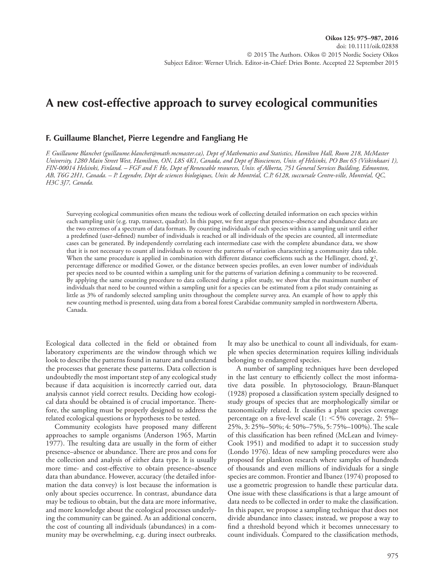# **A new cost-effective approach to survey ecological communities**

# **F. Guillaume Blanchet, Pierre Legendre and Fangliang He**

*F. Guillaume Blanchet (guillaume.blanchet@math.mcmaster.ca), Dept of Mathematics and Statistics, Hamilton Hall, Room 218, McMaster University, 1280 Main Street West, Hamilton, ON, L8S 4K1, Canada, and Dept of Biosciences, Univ. of Helsinki, PO Box 65 (Viikinkaari 1), FIN-00014 Helsinki, Finland. – FGF and F. He, Dept of Renewable resources, Univ. of Alberta, 751 General Services Building, Edmonton, AB, T6G 2H1, Canada. – P. Legendre, Dépt de sciences biologiques, Univ. de Montréal, C.P. 6128, succursale Centre-ville, Montréal, QC, H3C 3J7, Canada.*

Surveying ecological communities often means the tedious work of collecting detailed information on each species within each sampling unit (e.g. trap, transect, quadrat). In this paper, we first argue that presence–absence and abundance data are the two extremes of a spectrum of data formats. By counting individuals of each species within a sampling unit until either a predefined (user-defined) number of individuals is reached or all individuals of the species are counted, all intermediate cases can be generated. By independently correlating each intermediate case with the complete abundance data, we show that it is not necessary to count all individuals to recover the patterns of variation characterizing a community data table. When the same procedure is applied in combination with different distance coefficients such as the Hellinger, chord,  $\chi^2$ , percentage difference or modified Gower, or the distance between species profiles, an even lower number of individuals per species need to be counted within a sampling unit for the patterns of variation defining a community to be recovered. By applying the same counting procedure to data collected during a pilot study, we show that the maximum number of individuals that need to be counted within a sampling unit for a species can be estimated from a pilot study containing as little as 3% of randomly selected sampling units throughout the complete survey area. An example of how to apply this new counting method is presented, using data from a boreal forest Carabidae community sampled in northwestern Alberta, Canada.

Ecological data collected in the field or obtained from laboratory experiments are the window through which we look to describe the patterns found in nature and understand the processes that generate these patterns. Data collection is undoubtedly the most important step of any ecological study because if data acquisition is incorrectly carried out, data analysis cannot yield correct results. Deciding how ecological data should be obtained is of crucial importance. Therefore, the sampling must be properly designed to address the related ecological questions or hypotheses to be tested.

Community ecologists have proposed many different approaches to sample organisms (Anderson 1965, Martin 1977). The resulting data are usually in the form of either presence–absence or abundance. There are pros and cons for the collection and analysis of either data type. It is usually more time- and cost-effective to obtain presence–absence data than abundance. However, accuracy (the detailed information the data convey) is lost because the information is only about species occurrence. In contrast, abundance data may be tedious to obtain, but the data are more informative, and more knowledge about the ecological processes underlying the community can be gained. As an additional concern, the cost of counting all individuals (abundances) in a community may be overwhelming, e.g. during insect outbreaks. It may also be unethical to count all individuals, for example when species determination requires killing individuals belonging to endangered species.

A number of sampling techniques have been developed in the last century to efficiently collect the most informative data possible. In phytosociology, Braun-Blanquet (1928) proposed a classification system specially designed to study groups of species that are morphologically similar or taxonomically related. It classifies a plant species coverage percentage on a five-level scale  $(1: 5\%$  coverage, 2: 5%– 25%, 3: 25%–50%; 4: 50%–75%, 5: 75%–100%). The scale of this classification has been refined (McLean and Ivimey-Cook 1951) and modified to adapt it to succession study (Londo 1976). Ideas of new sampling procedures were also proposed for plankton research where samples of hundreds of thousands and even millions of individuals for a single species are common. Frontier and Ibanez (1974) proposed to use a geometric progression to handle these particular data. One issue with these classifications is that a large amount of data needs to be collected in order to make the classification. In this paper, we propose a sampling technique that does not divide abundance into classes; instead, we propose a way to find a threshold beyond which it becomes unnecessary to count individuals. Compared to the classification methods,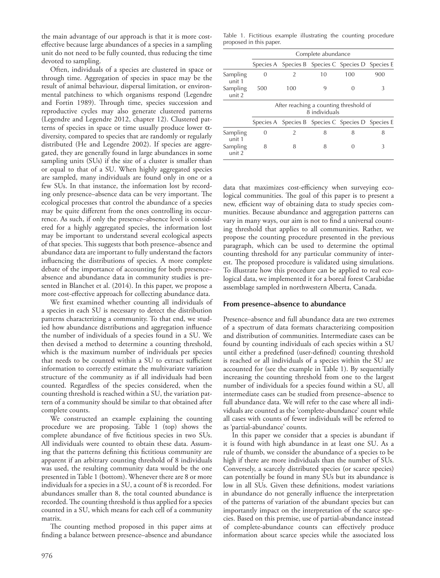the main advantage of our approach is that it is more costeffective because large abundances of a species in a sampling unit do not need to be fully counted, thus reducing the time devoted to sampling.

Often, individuals of a species are clustered in space or through time. Aggregation of species in space may be the result of animal behaviour, dispersal limitation, or environmental patchiness to which organisms respond (Legendre and Fortin 1989). Through time, species succession and reproductive cycles may also generate clustered patterns (Legendre and Legendre 2012, chapter 12). Clustered patterns of species in space or time usually produce lower  $\alpha$ diversity, compared to species that are randomly or regularly distributed (He and Legendre 2002). If species are aggregated, they are generally found in large abundances in some sampling units (SUs) if the size of a cluster is smaller than or equal to that of a SU. When highly aggregated species are sampled, many individuals are found only in one or a few SUs. In that instance, the information lost by recording only presence–absence data can be very important. The ecological processes that control the abundance of a species may be quite different from the ones controlling its occurrence. As such, if only the presence–absence level is considered for a highly aggregated species, the information lost may be important to understand several ecological aspects of that species. This suggests that both presence–absence and abundance data are important to fully understand the factors influencing the distributions of species. A more complete debate of the importance of accounting for both presence– absence and abundance data in community studies is presented in Blanchet et al. (2014). In this paper, we propose a more cost-effective approach for collecting abundance data.

We first examined whether counting all individuals of a species in each SU is necessary to detect the distribution patterns characterizing a community. To that end, we studied how abundance distributions and aggregation influence the number of individuals of a species found in a SU. We then devised a method to determine a counting threshold, which is the maximum number of individuals per species that needs to be counted within a SU to extract sufficient information to correctly estimate the multivariate variation structure of the community as if all individuals had been counted. Regardless of the species considered, when the counting threshold is reached within a SU, the variation pattern of a community should be similar to that obtained after complete counts.

We constructed an example explaining the counting procedure we are proposing. Table 1 (top) shows the complete abundance of five fictitious species in two SUs. All individuals were counted to obtain these data. Assuming that the patterns defining this fictitious community are apparent if an arbitrary counting threshold of 8 individuals was used, the resulting community data would be the one presented in Table 1 (bottom). Whenever there are 8 or more individuals for a species in a SU, a count of 8 is recorded. For abundances smaller than 8, the total counted abundance is recorded. The counting threshold is thus applied for a species counted in a SU, which means for each cell of a community matrix.

The counting method proposed in this paper aims at finding a balance between presence–absence and abundance

Table 1. Fictitious example illustrating the counting procedure proposed in this paper.

|                    | Complete abundance                                      |                      |                                                   |                                                   |     |  |  |  |  |
|--------------------|---------------------------------------------------------|----------------------|---------------------------------------------------|---------------------------------------------------|-----|--|--|--|--|
|                    |                                                         |                      | Species A Species B Species C Species D Species E |                                                   |     |  |  |  |  |
| Sampling<br>unit 1 | $\Omega$                                                | $\overline{2}$<br>10 |                                                   | 100                                               | 900 |  |  |  |  |
| Sampling<br>unit 2 | 500                                                     | 100                  | 9                                                 |                                                   | 3   |  |  |  |  |
|                    | After reaching a counting threshold of<br>8 individuals |                      |                                                   |                                                   |     |  |  |  |  |
|                    |                                                         |                      |                                                   | Species A Species B Species C Species D Species E |     |  |  |  |  |
| Sampling<br>unit 1 | $\Omega$                                                | $\mathfrak{D}$       | 8                                                 | 8                                                 | 8   |  |  |  |  |
| Sampling<br>unit 2 | 8                                                       | 8                    | 8                                                 |                                                   | 3   |  |  |  |  |

data that maximizes cost-efficiency when surveying ecological communities. The goal of this paper is to present a new, efficient way of obtaining data to study species communities. Because abundance and aggregation patterns can vary in many ways, our aim is not to find a universal counting threshold that applies to all communities. Rather, we propose the counting procedure presented in the previous paragraph, which can be used to determine the optimal counting threshold for any particular community of interest. The proposed procedure is validated using simulations. To illustrate how this procedure can be applied to real ecological data, we implemented it for a boreal forest Carabidae assemblage sampled in northwestern Alberta, Canada.

#### **From presence–absence to abundance**

Presence–absence and full abundance data are two extremes of a spectrum of data formats characterizing composition and distribution of communities. Intermediate cases can be found by counting individuals of each species within a SU until either a predefined (user-defined) counting threshold is reached or all individuals of a species within the SU are accounted for (see the example in Table 1). By sequentially increasing the counting threshold from one to the largest number of individuals for a species found within a SU, all intermediate cases can be studied from presence–absence to full abundance data. We will refer to the case where all individuals are counted as the 'complete-abundance' count while all cases with counts of fewer individuals will be referred to as 'partial-abundance' counts.

In this paper we consider that a species is abundant if it is found with high abundance in at least one SU. As a rule of thumb, we consider the abundance of a species to be high if there are more individuals than the number of SUs. Conversely, a scarcely distributed species (or scarce species) can potentially be found in many SUs but its abundance is low in all SUs. Given these definitions, modest variations in abundance do not generally influence the interpretation of the patterns of variation of the abundant species but can importantly impact on the interpretation of the scarce species. Based on this premise, use of partial-abundance instead of complete-abundance counts can effectively produce information about scarce species while the associated loss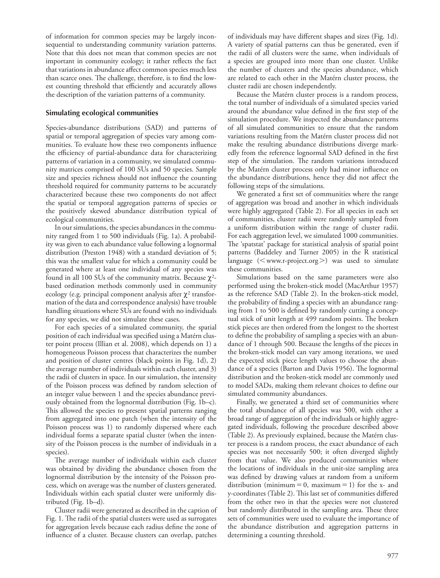of information for common species may be largely inconsequential to understanding community variation patterns. Note that this does not mean that common species are not important in community ecology; it rather reflects the fact that variations in abundance affect common species much less than scarce ones. The challenge, therefore, is to find the lowest counting threshold that efficiently and accurately allows the description of the variation patterns of a community.

#### **Simulating ecological communities**

Species-abundance distributions (SAD) and patterns of spatial or temporal aggregation of species vary among communities. To evaluate how these two components influence the efficiency of partial-abundance data for characterizing patterns of variation in a community, we simulated community matrices comprised of 100 SUs and 50 species. Sample size and species richness should not influence the counting threshold required for community patterns to be accurately characterized because these two components do not affect the spatial or temporal aggregation patterns of species or the positively skewed abundance distribution typical of ecological communities.

In our simulations, the species abundances in the community ranged from 1 to 500 individuals (Fig. 1a). A probability was given to each abundance value following a lognormal distribution (Preston 1948) with a standard deviation of 5; this was the smallest value for which a community could be generated where at least one individual of any species was found in all 100 SUs of the community matrix. Because  $\chi^2$ based ordination methods commonly used in community ecology (e.g. principal component analysis after  $\chi^2$  transformation of the data and correspondence analysis) have trouble handling situations where SUs are found with no individuals for any species, we did not simulate these cases.

For each species of a simulated community, the spatial position of each individual was specified using a Matérn cluster point process (Illian et al. 2008), which depends on 1) a homogeneous Poisson process that characterizes the number and position of cluster centres (black points in Fig. 1d), 2) the average number of individuals within each cluster, and 3) the radii of clusters in space. In our simulation, the intensity of the Poisson process was defined by random selection of an integer value between 1 and the species abundance previously obtained from the lognormal distribution (Fig. 1b–c). This allowed the species to present spatial patterns ranging from aggregated into one patch (when the intensity of the Poisson process was 1) to randomly dispersed where each individual forms a separate spatial cluster (when the intensity of the Poisson process is the number of individuals in a species).

The average number of individuals within each cluster was obtained by dividing the abundance chosen from the lognormal distribution by the intensity of the Poisson process, which on average was the number of clusters generated. Individuals within each spatial cluster were uniformly distributed (Fig. 1b–d).

Cluster radii were generated as described in the caption of Fig. 1. The radii of the spatial clusters were used as surrogates for aggregation levels because each radius define the zone of influence of a cluster. Because clusters can overlap, patches

of individuals may have different shapes and sizes (Fig. 1d). A variety of spatial patterns can thus be generated, even if the radii of all clusters were the same, when individuals of a species are grouped into more than one cluster. Unlike the number of clusters and the species abundance, which are related to each other in the Matérn cluster process, the cluster radii are chosen independently.

Because the Matérn cluster process is a random process, the total number of individuals of a simulated species varied around the abundance value defined in the first step of the simulation procedure. We inspected the abundance patterns of all simulated communities to ensure that the random variations resulting from the Matérn cluster process did not make the resulting abundance distributions diverge markedly from the reference lognormal SAD defined in the first step of the simulation. The random variations introduced by the Matérn cluster process only had minor influence on the abundance distributions, hence they did not affect the following steps of the simulations.

We generated a first set of communities where the range of aggregation was broad and another in which individuals were highly aggregated (Table 2). For all species in each set of communities, cluster radii were randomly sampled from a uniform distribution within the range of cluster radii. For each aggregation level, we simulated 1000 communities. The 'spatstat' package for statistical analysis of spatial point patterns (Baddeley and Turner 2005) in the R statistical language  $(<$ www.r-project.org $>)$  was used to simulate these communities.

Simulations based on the same parameters were also performed using the broken-stick model (MacArthur 1957) as the reference SAD (Table 2). In the broken-stick model, the probability of finding a species with an abundance ranging from 1 to 500 is defined by randomly cutting a conceptual stick of unit length at 499 random points. The broken stick pieces are then ordered from the longest to the shortest to define the probability of sampling a species with an abundance of 1 through 500. Because the lengths of the pieces in the broken-stick model can vary among iterations, we used the expected stick piece length values to choose the abundance of a species (Barton and Davis 1956). The lognormal distribution and the broken-stick model are commonly used to model SADs, making them relevant choices to define our simulated community abundances.

Finally, we generated a third set of communities where the total abundance of all species was 500, with either a broad range of aggregation of the individuals or highly aggregated individuals, following the procedure described above (Table 2). As previously explained, because the Matérn cluster process is a random process, the exact abundance of each species was not necessarily 500; it often diverged slightly from that value. We also produced communities where the locations of individuals in the unit-size sampling area was defined by drawing values at random from a uniform distribution (minimum = 0, maximum = 1) for the x- and y-coordinates (Table 2). This last set of communities differed from the other two in that the species were not clustered but randomly distributed in the sampling area. These three sets of communities were used to evaluate the importance of the abundance distribution and aggregation patterns in determining a counting threshold.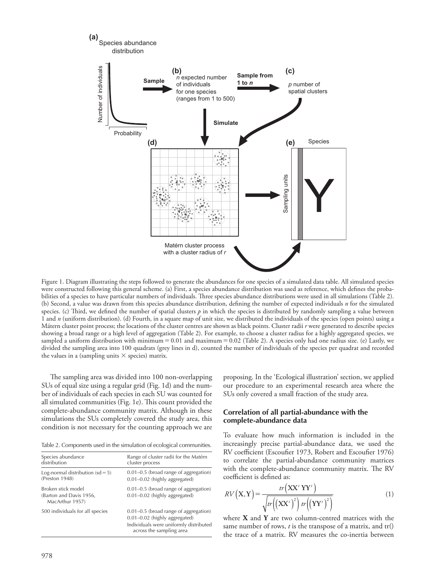

Figure 1. Diagram illustrating the steps followed to generate the abundances for one species of a simulated data table. All simulated species were constructed following this general scheme. (a) First, a species abundance distribution was used as reference, which defines the probabilities of a species to have particular numbers of individuals. Three species abundance distributions were used in all simulations (Table 2). (b) Second, a value was drawn from this species abundance distribution, defining the number of expected individuals *n* for the simulated species. (c) Third, we defined the number of spatial clusters  $p$  in which the species is distributed by randomly sampling a value between 1 and *n* (uniform distribution). (d) Fourth, in a square map of unit size, we distributed the individuals of the species (open points) using a Mátern cluster point process; the locations of the cluster centres are shown as black points. Cluster radii *r* were generated to describe species showing a broad range or a high level of aggregation (Table 2). For example, to choose a cluster radius for a highly aggregated species, we sampled a uniform distribution with minimum =  $0.01$  and maximum =  $0.02$  (Table 2). A species only had one radius size. (e) Lastly, we divided the sampling area into 100 quadrats (grey lines in d), counted the number of individuals of the species per quadrat and recorded the values in a (sampling units  $\times$  species) matrix.

The sampling area was divided into 100 non-overlapping SUs of equal size using a regular grid (Fig. 1d) and the number of individuals of each species in each SU was counted for all simulated communities (Fig. 1e). This count provided the complete-abundance community matrix. Although in these simulations the SUs completely covered the study area, this condition is not necessary for the counting approach we are

Table 2. Components used in the simulation of ecological communities.

| Species abundance                                                | Range of cluster radii for the Matérn                                                                                                              |
|------------------------------------------------------------------|----------------------------------------------------------------------------------------------------------------------------------------------------|
| distribution                                                     | cluster process                                                                                                                                    |
| Log-normal distribution $(sd = 5)$                               | $0.01-0.5$ (broad range of aggregation)                                                                                                            |
| (Preston 1948)                                                   | 0.01-0.02 (highly aggregated)                                                                                                                      |
| Broken stick model<br>(Barton and Davis 1956,<br>MacArthur 1957) | $0.01-0.5$ (broad range of aggregation)<br>$0.01 - 0.02$ (highly aggregated)                                                                       |
| 500 individuals for all species                                  | $0.01-0.5$ (broad range of aggregation)<br>$0.01 - 0.02$ (highly aggregated)<br>Individuals were uniformly distributed<br>across the sampling area |

proposing. In the 'Ecological illustration' section, we applied our procedure to an experimental research area where the SUs only covered a small fraction of the study area.

## **Correlation of all partial-abundance with the complete-abundance data**

To evaluate how much information is included in the increasingly precise partial-abundance data, we used the RV coefficient (Escoufier 1973, Robert and Escoufier 1976) to correlate the partial-abundance community matrices with the complete-abundance community matrix. The RV coefficient is defined as:

$$
RV(X,Y) = \frac{tr(XX'YY')}{\sqrt{tr((XX')^2)tr((YY')^2)}}
$$
(1)

where **X** and **Y** are two column-centred matrices with the same number of rows, *t* is the transpose of a matrix, and tr() the trace of a matrix. RV measures the co-inertia between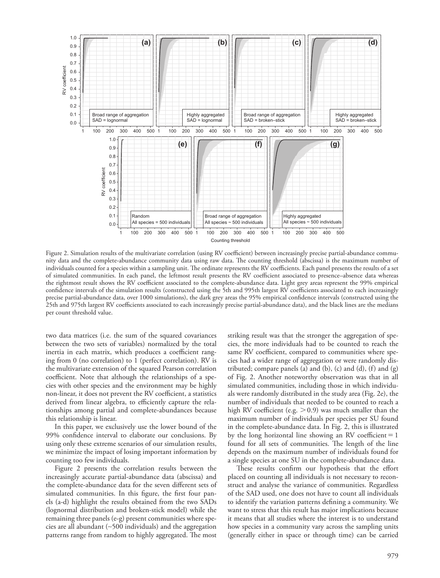

Figure 2. Simulation results of the multivariate correlation (using RV coefficient) between increasingly precise partial-abundance community data and the complete-abundance community data using raw data. The counting threshold (abscissa) is the maximum number of individuals counted for a species within a sampling unit. The ordinate represents the RV coefficients. Each panel presents the results of a set of simulated communities. In each panel, the leftmost result presents the RV coefficient associated to presence–absence data whereas the rightmost result shows the RV coefficient associated to the complete-abundance data. Light grey areas represent the 99% empirical confidence intervals of the simulation results (constructed using the 5th and 995th largest RV coefficients associated to each increasingly precise partial-abundance data, over 1000 simulations), the dark grey areas the 95% empirical confidence intervals (constructed using the 25th and 975th largest RV coefficients associated to each increasingly precise partial-abundance data), and the black lines are the medians per count threshold value.

two data matrices (i.e. the sum of the squared covariances between the two sets of variables) normalized by the total inertia in each matrix, which produces a coefficient ranging from 0 (no correlation) to 1 (perfect correlation). RV is the multivariate extension of the squared Pearson correlation coefficient. Note that although the relationships of a species with other species and the environment may be highly non-linear, it does not prevent the RV coefficient, a statistics derived from linear algebra, to efficiently capture the relationships among partial and complete-abundances because this relationship is linear.

In this paper, we exclusively use the lower bound of the 99% confidence interval to elaborate our conclusions. By using only these extreme scenarios of our simulation results, we minimize the impact of losing important information by counting too few individuals.

Figure 2 presents the correlation results between the increasingly accurate partial-abundance data (abscissa) and the complete-abundance data for the seven different sets of simulated communities. In this figure, the first four panels (a-d) highlight the results obtained from the two SADs (lognormal distribution and broken-stick model) while the remaining three panels (e-g) present communities where species are all abundant (∼500 individuals) and the aggregation patterns range from random to highly aggregated. The most

striking result was that the stronger the aggregation of species, the more individuals had to be counted to reach the same RV coefficient, compared to communities where species had a wider range of aggregation or were randomly distributed; compare panels (a) and (b), (c) and (d), (f) and (g) of Fig. 2. Another noteworthy observation was that in all simulated communities, including those in which individuals were randomly distributed in the study area (Fig. 2e), the number of individuals that needed to be counted to reach a high RV coefficient (e.g.  $> 0.9$ ) was much smaller than the maximum number of individuals per species per SU found in the complete-abundance data. In Fig. 2, this is illustrated by the long horizontal line showing an RV coefficient  $=1$ found for all sets of communities. The length of the line depends on the maximum number of individuals found for a single species at one SU in the complete-abundance data.

These results confirm our hypothesis that the effort placed on counting all individuals is not necessary to reconstruct and analyse the variance of communities. Regardless of the SAD used, one does not have to count all individuals to identify the variation patterns defining a community. We want to stress that this result has major implications because it means that all studies where the interest is to understand how species in a community vary across the sampling units (generally either in space or through time) can be carried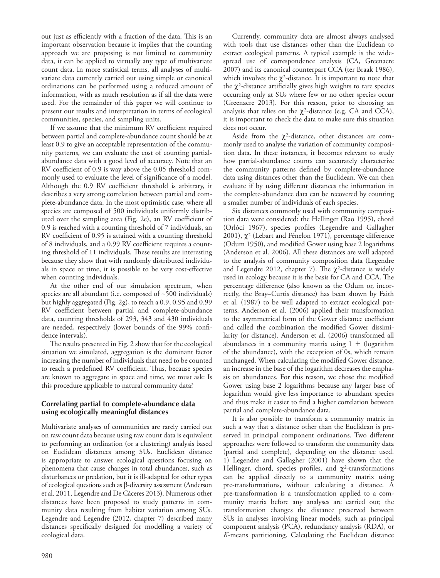out just as efficiently with a fraction of the data. This is an important observation because it implies that the counting approach we are proposing is not limited to community data, it can be applied to virtually any type of multivariate count data. In more statistical terms, all analyses of multivariate data currently carried out using simple or canonical ordinations can be performed using a reduced amount of information, with as much resolution as if all the data were used. For the remainder of this paper we will continue to present our results and interpretation in terms of ecological communities, species, and sampling units.

If we assume that the minimum RV coefficient required between partial and complete-abundance count should be at least 0.9 to give an acceptable representation of the community patterns, we can evaluate the cost of counting partialabundance data with a good level of accuracy. Note that an RV coefficient of 0.9 is way above the 0.05 threshold commonly used to evaluate the level of significance of a model. Although the 0.9 RV coefficient threshold is arbitrary, it describes a very strong correlation between partial and complete-abundance data. In the most optimistic case, where all species are composed of 500 individuals uniformly distributed over the sampling area (Fig. 2e), an RV coefficient of 0.9 is reached with a counting threshold of 7 individuals, an RV coefficient of 0.95 is attained with a counting threshold of 8 individuals, and a 0.99 RV coefficient requires a counting threshold of 11 individuals. These results are interesting because they show that with randomly distributed individuals in space or time, it is possible to be very cost-effective when counting individuals.

At the other end of our simulation spectrum, when species are all abundant (i.e. composed of ∼500 individuals) but highly aggregated (Fig. 2g), to reach a 0.9, 0.95 and 0.99 RV coefficient between partial and complete-abundance data, counting thresholds of 293, 343 and 430 individuals are needed, respectively (lower bounds of the 99% confidence intervals).

The results presented in Fig. 2 show that for the ecological situation we simulated, aggregation is the dominant factor increasing the number of individuals that need to be counted to reach a predefined RV coefficient. Thus, because species are known to aggregate in space and time, we must ask: Is this procedure applicable to natural community data?

## **Correlating partial to complete-abundance data using ecologically meaningful distances**

Multivariate analyses of communities are rarely carried out on raw count data because using raw count data is equivalent to performing an ordination (or a clustering) analysis based on Euclidean distances among SUs. Euclidean distance is appropriate to answer ecological questions focusing on phenomena that cause changes in total abundances, such as disturbances or predation, but it is ill-adapted for other types of ecological questions such as  $\beta$ -diversity assessment (Anderson et al. 2011, Legendre and De Cáceres 2013). Numerous other distances have been proposed to study patterns in community data resulting from habitat variation among SUs. Legendre and Legendre (2012, chapter 7) described many distances specifically designed for modelling a variety of ecological data.

Currently, community data are almost always analysed with tools that use distances other than the Euclidean to extract ecological patterns. A typical example is the widespread use of correspondence analysis (CA, Greenacre 2007) and its canonical counterpart CCA (ter Braak 1986), which involves the  $\chi^2$ -distance. It is important to note that the  $\chi^2$ -distance artificially gives high weights to rare species occurring only at SUs where few or no other species occur (Greenacre 2013). For this reason, prior to choosing an analysis that relies on the  $\chi^2$ -distance (e.g. CA and CCA), it is important to check the data to make sure this situation does not occur.

Aside from the  $\chi^2$ -distance, other distances are commonly used to analyse the variation of community composition data. In these instances, it becomes relevant to study how partial-abundance counts can accurately characterize the community patterns defined by complete-abundance data using distances other than the Euclidean. We can then evaluate if by using different distances the information in the complete-abundance data can be recovered by counting a smaller number of individuals of each species.

Six distances commonly used with community composition data were considered: the Hellinger (Rao 1995), chord (Orlóci 1967), species profiles (Legendre and Gallagher 2001),  $\chi^2$  (Lebart and Fénelon 1971), percentage difference (Odum 1950), and modified Gower using base 2 logarithms (Anderson et al. 2006). All these distances are well adapted to the analysis of community composition data (Legendre and Legendre 2012, chapter 7). The  $\chi^2$ -distance is widely used in ecology because it is the basis for CA and CCA. The percentage difference (also known as the Odum or, incorrectly, the Bray–Curtis distance) has been shown by Faith et al. (1987) to be well adapted to extract ecological patterns. Anderson et al. (2006) applied their transformation to the asymmetrical form of the Gower distance coefficient and called the combination the modified Gower dissimilarity (or distance). Anderson et al. (2006) transformed all abundances in a community matrix using  $1 + (logarithm)$ of the abundance), with the exception of 0s, which remain unchanged. When calculating the modified Gower distance, an increase in the base of the logarithm decreases the emphasis on abundances. For this reason, we chose the modified Gower using base 2 logarithms because any larger base of logarithm would give less importance to abundant species and thus make it easier to find a higher correlation between partial and complete-abundance data.

It is also possible to transform a community matrix in such a way that a distance other than the Euclidean is preserved in principal component ordinations. Two different approaches were followed to transform the community data (partial and complete), depending on the distance used. 1) Legendre and Gallagher (2001) have shown that the Hellinger, chord, species profiles, and  $\chi^2$ -transformations can be applied directly to a community matrix using pre-transformations, without calculating a distance. A pre-transformation is a transformation applied to a community matrix before any analyses are carried out; the transformation changes the distance preserved between SUs in analyses involving linear models, such as principal component analysis (PCA), redundancy analysis (RDA), or *K*-means partitioning. Calculating the Euclidean distance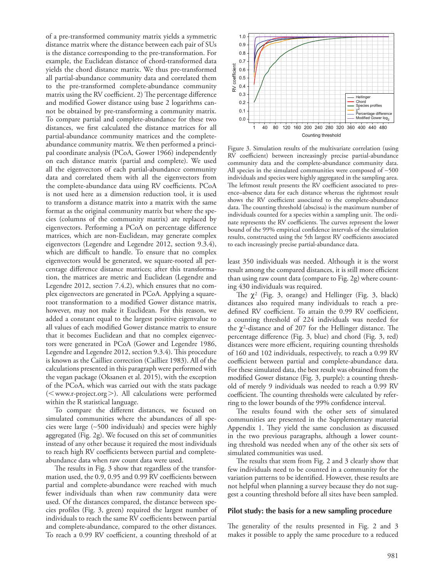of a pre-transformed community matrix yields a symmetric distance matrix where the distance between each pair of SUs is the distance corresponding to the pre-transformation. For example, the Euclidean distance of chord-transformed data yields the chord distance matrix. We thus pre-transformed all partial-abundance community data and correlated them to the pre-transformed complete-abundance community matrix using the RV coefficient. 2) The percentage difference and modified Gower distance using base 2 logarithms cannot be obtained by pre-transforming a community matrix. To compare partial and complete-abundance for these two distances, we first calculated the distance matrices for all partial-abundance community matrices and the completeabundance community matrix. We then performed a principal coordinate analysis (PCoA, Gower 1966) independently on each distance matrix (partial and complete). We used all the eigenvectors of each partial-abundance community data and correlated them with all the eigenvectors from the complete-abundance data using RV coefficients. PCoA is not used here as a dimension reduction tool, it is used to transform a distance matrix into a matrix with the same format as the original community matrix but where the species (columns of the community matrix) are replaced by eigenvectors. Performing a PCoA on percentage difference matrices, which are non-Euclidean, may generate complex eigenvectors (Legendre and Legendre 2012, section 9.3.4), which are difficult to handle. To ensure that no complex eigenvectors would be generated, we square-rooted all percentage difference distance matrices; after this transformation, the matrices are metric and Euclidean (Legendre and Legendre 2012, section 7.4.2), which ensures that no complex eigenvectors are generated in PCoA. Applying a squareroot transformation to a modified Gower distance matrix, however, may not make it Euclidean. For this reason, we added a constant equal to the largest positive eigenvalue to all values of each modified Gower distance matrix to ensure that it becomes Euclidean and that no complex eigenvectors were generated in PCoA (Gower and Legendre 1986, Legendre and Legendre 2012, section 9.3.4). This procedure is known as the Cailliez correction (Cailliez 1983). All of the calculations presented in this paragraph were performed with the vegan package (Oksanen et al. 2015), with the exception of the PCoA, which was carried out with the stats package  $(<$ www.r-project.org  $>$ ). All calculations were performed within the R statistical language.

To compare the different distances, we focused on simulated communities where the abundances of all species were large (∼500 individuals) and species were highly aggregated (Fig. 2g). We focused on this set of communities instead of any other because it required the most individuals to reach high RV coefficients between partial and completeabundance data when raw count data were used.

The results in Fig. 3 show that regardless of the transformation used, the 0.9, 0.95 and 0.99 RV coefficients between partial and complete-abundance were reached with much fewer individuals than when raw community data were used. Of the distances compared, the distance between species profiles (Fig. 3, green) required the largest number of individuals to reach the same RV coefficients between partial and complete-abundance, compared to the other distances. To reach a 0.99 RV coefficient, a counting threshold of at



Figure 3. Simulation results of the multivariate correlation (using RV coefficient) between increasingly precise partial-abundance community data and the complete-abundance community data. All species in the simulated communities were composed of ∼500 individuals and species were highly aggregated in the sampling area. The leftmost result presents the RV coefficient associated to presence–absence data for each distance whereas the rightmost result shows the RV coefficient associated to the complete-abundance data. The counting threshold (abscissa) is the maximum number of individuals counted for a species within a sampling unit. The ordinate represents the RV coefficients. The curves represent the lower bound of the 99% empirical confidence intervals of the simulation results, constructed using the 5th largest RV coefficients associated to each increasingly precise partial-abundance data.

least 350 individuals was needed. Although it is the worst result among the compared distances, it is still more efficient than using raw count data (compare to Fig. 2g) where counting 430 individuals was required.

The  $\chi^2$  (Fig. 3, orange) and Hellinger (Fig. 3, black) distances also required many individuals to reach a predefined RV coefficient. To attain the 0.99 RV coefficient, a counting threshold of 224 individuals was needed for the  $\chi^2$ -distance and of 207 for the Hellinger distance. The percentage difference (Fig. 3, blue) and chord (Fig. 3, red) distances were more efficient, requiring counting thresholds of 160 and 102 individuals, respectively, to reach a 0.99 RV coefficient between partial and complete-abundance data. For these simulated data, the best result was obtained from the modified Gower distance (Fig. 3, purple): a counting threshold of merely 9 individuals was needed to reach a 0.99 RV coefficient. The counting thresholds were calculated by referring to the lower bounds of the 99% confidence interval.

The results found with the other sets of simulated communities are presented in the Supplementary material Appendix 1. They yield the same conclusion as discussed in the two previous paragraphs, although a lower counting threshold was needed when any of the other six sets of simulated communities was used.

The results that stem from Fig. 2 and 3 clearly show that few individuals need to be counted in a community for the variation patterns to be identified. However, these results are not helpful when planning a survey because they do not suggest a counting threshold before all sites have been sampled.

#### **Pilot study: the basis for a new sampling procedure**

The generality of the results presented in Fig. 2 and 3 makes it possible to apply the same procedure to a reduced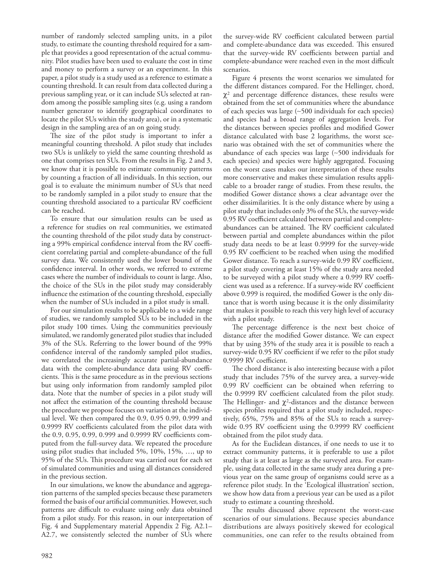number of randomly selected sampling units, in a pilot study, to estimate the counting threshold required for a sample that provides a good representation of the actual community. Pilot studies have been used to evaluate the cost in time and money to perform a survey or an experiment. In this paper, a pilot study is a study used as a reference to estimate a counting threshold. It can result from data collected during a previous sampling year, or it can include SUs selected at random among the possible sampling sites (e.g. using a random number generator to identify geographical coordinates to locate the pilot SUs within the study area), or in a systematic design in the sampling area of an on going study.

The size of the pilot study is important to infer a meaningful counting threshold. A pilot study that includes two SUs is unlikely to yield the same counting threshold as one that comprises ten SUs. From the results in Fig. 2 and 3, we know that it is possible to estimate community patterns by counting a fraction of all individuals. In this section, our goal is to evaluate the minimum number of SUs that need to be randomly sampled in a pilot study to ensure that the counting threshold associated to a particular RV coefficient can be reached.

To ensure that our simulation results can be used as a reference for studies on real communities, we estimated the counting threshold of the pilot study data by constructing a 99% empirical confidence interval from the RV coefficient correlating partial and complete-abundance of the full survey data. We consistently used the lower bound of the confidence interval. In other words, we referred to extreme cases where the number of individuals to count is large. Also, the choice of the SUs in the pilot study may considerably influence the estimation of the counting threshold, especially when the number of SUs included in a pilot study is small.

For our simulation results to be applicable to a wide range of studies, we randomly sampled SUs to be included in the pilot study 100 times. Using the communities previously simulated, we randomly generated pilot studies that included 3% of the SUs. Referring to the lower bound of the 99% confidence interval of the randomly sampled pilot studies, we correlated the increasingly accurate partial-abundance data with the complete-abundance data using RV coefficients. This is the same procedure as in the previous sections but using only information from randomly sampled pilot data. Note that the number of species in a pilot study will not affect the estimation of the counting threshold because the procedure we propose focuses on variation at the individual level. We then compared the 0.9, 0.95 0.99, 0.999 and 0.9999 RV coefficients calculated from the pilot data with the 0.9, 0.95, 0.99, 0.999 and 0.9999 RV coefficients computed from the full-survey data. We repeated the procedure using pilot studies that included 5%, 10%, 15%, …, up to 95% of the SUs. This procedure was carried out for each set of simulated communities and using all distances considered in the previous section.

In our simulations, we know the abundance and aggregation patterns of the sampled species because these parameters formed the basis of our artificial communities. However, such patterns are difficult to evaluate using only data obtained from a pilot study. For this reason, in our interpretation of Fig. 4 and Supplementary material Appendix 2 Fig. A2.1– A2.7, we consistently selected the number of SUs where the survey-wide RV coefficient calculated between partial and complete-abundance data was exceeded. This ensured that the survey-wide RV coefficients between partial and complete-abundance were reached even in the most difficult scenarios.

Figure 4 presents the worst scenarios we simulated for the different distances compared. For the Hellinger, chord,  $\chi^2$  and percentage difference distances, these results were obtained from the set of communities where the abundance of each species was large (∼500 individuals for each species) and species had a broad range of aggregation levels. For the distances between species profiles and modified Gower distance calculated with base 2 logarithms, the worst scenario was obtained with the set of communities where the abundance of each species was large (∼500 individuals for each species) and species were highly aggregated. Focusing on the worst cases makes our interpretation of these results more conservative and makes these simulation results applicable to a broader range of studies. From these results, the modified Gower distance shows a clear advantage over the other dissimilarities. It is the only distance where by using a pilot study that includes only 3% of the SUs, the survey-wide 0.95 RV coefficient calculated between partial and completeabundances can be attained. The RV coefficient calculated between partial and complete abundances within the pilot study data needs to be at least 0.9999 for the survey-wide 0.95 RV coefficient to be reached when using the modified Gower distance. To reach a survey-wide 0.99 RV coefficient, a pilot study covering at least 15% of the study area needed to be surveyed with a pilot study where a 0.999 RV coefficient was used as a reference. If a survey-wide RV coefficient above 0.999 is required, the modified Gower is the only distance that is worth using because it is the only dissimilarity that makes it possible to reach this very high level of accuracy with a pilot study.

The percentage difference is the next best choice of distance after the modified Gower distance. We can expect that by using 35% of the study area it is possible to reach a survey-wide 0.95 RV coefficient if we refer to the pilot study 0.9999 RV coefficient.

The chord distance is also interesting because with a pilot study that includes 75% of the survey area, a survey-wide 0.99 RV coefficient can be obtained when referring to the 0.9999 RV coefficient calculated from the pilot study. The Hellinger- and  $\chi^2$ -distances and the distance between species profiles required that a pilot study included, respectively, 65%, 75% and 85% of the SUs to reach a surveywide 0.95 RV coefficient using the 0.9999 RV coefficient obtained from the pilot study data.

As for the Euclidean distances, if one needs to use it to extract community patterns, it is preferable to use a pilot study that is at least as large as the surveyed area. For example, using data collected in the same study area during a previous year on the same group of organisms could serve as a reference pilot study. In the 'Ecological illustration' section, we show how data from a previous year can be used as a pilot study to estimate a counting threshold.

The results discussed above represent the worst-case scenarios of our simulations. Because species abundance distributions are always positively skewed for ecological communities, one can refer to the results obtained from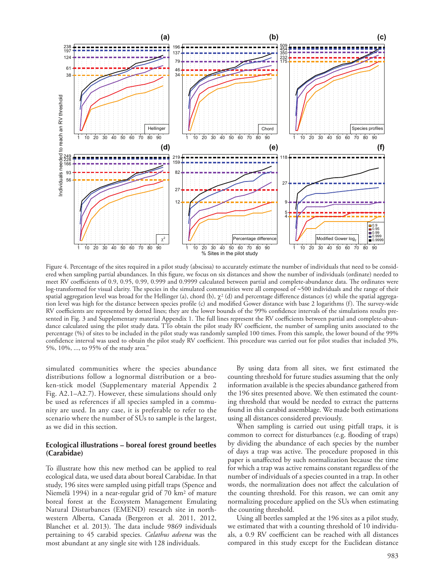

Figure 4. Percentage of the sites required in a pilot study (abscissa) to accurately estimate the number of individuals that need to be considered when sampling partial abundances. In this figure, we focus on six distances and show the number of individuals (ordinate) needed to meet RV coefficients of 0.9, 0.95, 0.99, 0.999 and 0.9999 calculated between partial and complete-abundance data. The ordinates were log-transformed for visual clarity. The species in the simulated communities were all composed of ~500 individuals and the range of their spatial aggregation level was broad for the Hellinger (a), chord (b),  $\chi^2$  (d) and percentage difference distances (e) while the spatial aggregation level was high for the distance between species profile (c) and modified Gower distance with base 2 logarithms (f). The survey-wide RV coefficients are represented by dotted lines; they are the lower bounds of the 99% confidence intervals of the simulations results presented in Fig. 3 and Supplementary material Appendix 1. The full lines represent the RV coefficients between partial and complete-abundance calculated using the pilot study data. TTo obtain the pilot study RV coefficient, the number of sampling units associated to the percentage (%) of sites to be included in the pilot study was randomly sampled 100 times. From this sample, the lower bound of the 99% confidence interval was used to obtain the pilot study RV coefficient. This procedure was carried out for pilot studies that included 3%, 5%, 10%, ..., to 95% of the study area."

simulated communities where the species abundance distributions follow a lognormal distribution or a broken-stick model (Supplementary material Appendix 2 Fig. A2.1–A2.7). However, these simulations should only be used as references if all species sampled in a community are used. In any case, it is preferable to refer to the scenario where the number of SUs to sample is the largest, as we did in this section.

#### **Ecological illustrations – boreal forest ground beetles (Carabidae)**

To illustrate how this new method can be applied to real ecological data, we used data about boreal Carabidae. In that study, 196 sites were sampled using pitfall traps (Spence and Niemelä 1994) in a near-regular grid of 70 km2 of mature boreal forest at the Ecosystem Management Emulating Natural Disturbances (EMEND) research site in northwestern Alberta, Canada (Bergeron et al. 2011, 2012, Blanchet et al. 2013). The data include 9869 individuals pertaining to 45 carabid species. *Calathus advena* was the most abundant at any single site with 128 individuals.

By using data from all sites, we first estimated the counting threshold for future studies assuming that the only information available is the species abundance gathered from the 196 sites presented above. We then estimated the counting threshold that would be needed to extract the patterns found in this carabid assemblage. We made both estimations using all distances considered previously.

When sampling is carried out using pitfall traps, it is common to correct for disturbances (e.g. flooding of traps) by dividing the abundance of each species by the number of days a trap was active. The procedure proposed in this paper is unaffected by such normalization because the time for which a trap was active remains constant regardless of the number of individuals of a species counted in a trap. In other words, the normalization does not affect the calculation of the counting threshold. For this reason, we can omit any normalizing procedure applied on the SUs when estimating the counting threshold.

Using all beetles sampled at the 196 sites as a pilot study, we estimated that with a counting threshold of 10 individuals, a 0.9 RV coefficient can be reached with all distances compared in this study except for the Euclidean distance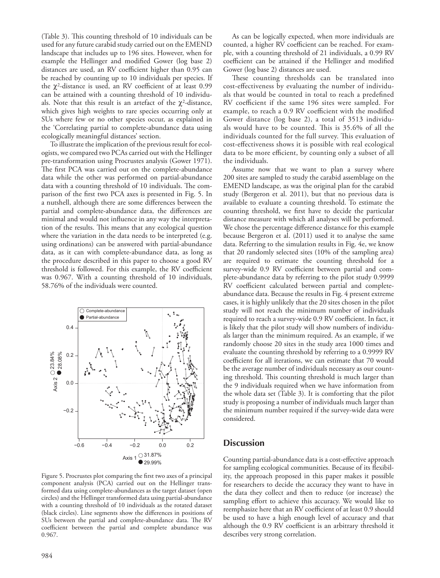(Table 3). This counting threshold of 10 individuals can be used for any future carabid study carried out on the EMEND landscape that includes up to 196 sites. However, when for example the Hellinger and modified Gower (log base 2) distances are used, an RV coefficient higher than 0.95 can be reached by counting up to 10 individuals per species. If the  $\chi^2$ -distance is used, an RV coefficient of at least 0.99 can be attained with a counting threshold of 10 individuals. Note that this result is an artefact of the  $\chi^2$ -distance, which gives high weights to rare species occurring only at SUs where few or no other species occur, as explained in the 'Correlating partial to complete-abundance data using ecologically meaningful distances' section.

To illustrate the implication of the previous result for ecologists, we compared two PCAs carried out with the Hellinger pre-transformation using Procrustes analysis (Gower 1971). The first PCA was carried out on the complete-abundance data while the other was performed on partial-abundance data with a counting threshold of 10 individuals. The comparison of the first two PCA axes is presented in Fig. 5. In a nutshell, although there are some differences between the partial and complete-abundance data, the differences are minimal and would not influence in any way the interpretation of the results. This means that any ecological question where the variation in the data needs to be interpreted (e.g. using ordinations) can be answered with partial-abundance data, as it can with complete-abundance data, as long as the procedure described in this paper to choose a good RV threshold is followed. For this example, the RV coefficient was 0.967. With a counting threshold of 10 individuals, 58.76% of the individuals were counted.



Figure 5. Procrustes plot comparing the first two axes of a principal component analysis (PCA) carried out on the Hellinger transformed data using complete-abundances as the target dataset (open circles) and the Hellinger transformed data using partial-abundance with a counting threshold of 10 individuals as the rotated dataset (black circles). Line segments show the differences in positions of SUs between the partial and complete-abundance data. The RV coefficient between the partial and complete abundance was 0.967.

As can be logically expected, when more individuals are counted, a higher RV coefficient can be reached. For example, with a counting threshold of 21 individuals, a 0.99 RV coefficient can be attained if the Hellinger and modified Gower (log base 2) distances are used.

These counting thresholds can be translated into cost-effectiveness by evaluating the number of individuals that would be counted in total to reach a predefined RV coefficient if the same 196 sites were sampled. For example, to reach a 0.9 RV coefficient with the modified Gower distance (log base 2), a total of 3513 individuals would have to be counted. This is 35.6% of all the individuals counted for the full survey. This evaluation of cost-effectiveness shows it is possible with real ecological data to be more efficient, by counting only a subset of all the individuals.

Assume now that we want to plan a survey where 200 sites are sampled to study the carabid assemblage on the EMEND landscape, as was the original plan for the carabid study (Bergeron et al. 2011), but that no previous data is available to evaluate a counting threshold. To estimate the counting threshold, we first have to decide the particular distance measure with which all analyses will be performed. We chose the percentage difference distance for this example because Bergeron et al. (2011) used it to analyse the same data. Referring to the simulation results in Fig. 4e, we know that 20 randomly selected sites (10% of the sampling area) are required to estimate the counting threshold for a survey-wide 0.9 RV coefficient between partial and complete-abundance data by referring to the pilot study 0.9999 RV coefficient calculated between partial and completeabundance data. Because the results in Fig. 4 present extreme cases, it is highly unlikely that the 20 sites chosen in the pilot study will not reach the minimum number of individuals required to reach a survey-wide 0.9 RV coefficient. In fact, it is likely that the pilot study will show numbers of individuals larger than the minimum required. As an example, if we randomly choose 20 sites in the study area 1000 times and evaluate the counting threshold by referring to a 0.9999 RV coefficient for all iterations, we can estimate that 70 would be the average number of individuals necessary as our counting threshold. This counting threshold is much larger than the 9 individuals required when we have information from the whole data set (Table 3). It is comforting that the pilot study is proposing a number of individuals much larger than the minimum number required if the survey-wide data were considered.

#### **Discussion**

Counting partial-abundance data is a cost-effective approach for sampling ecological communities. Because of its flexibility, the approach proposed in this paper makes it possible for researchers to decide the accuracy they want to have in the data they collect and then to reduce (or increase) the sampling effort to achieve this accuracy. We would like to reemphasize here that an RV coefficient of at least 0.9 should be used to have a high enough level of accuracy and that although the 0.9 RV coefficient is an arbitrary threshold it describes very strong correlation.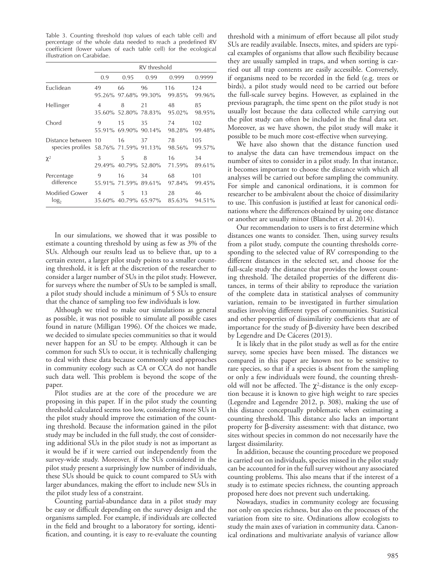Table 3. Counting threshold (top values of each table cell) and percentage of the whole data needed to reach a predefined RV coefficient (lower values of each table cell) for the ecological illustration on Carabidae.

|                                                              | RV threshold    |      |                            |               |                      |  |
|--------------------------------------------------------------|-----------------|------|----------------------------|---------------|----------------------|--|
|                                                              | 0.9             | 0.95 | 0.99                       | 0.999         | 0.9999               |  |
| Euclidean                                                    | 49<br>$95.26\%$ | 66   | 96<br>97.68% 99.30%        | 116<br>99.85% | 124<br>99.96%        |  |
| Hellinger                                                    | 4               | 8    | 21<br>35.60% 52.80% 78.83% | 48<br>95.02%  | 85<br>98.95%         |  |
| Chord                                                        | 9               | 15   | 35<br>55.91% 69.90% 90.14% | 74<br>98.28%  | 102<br>99.48%        |  |
| Distance between 10<br>species profiles 58.76% 71.59% 91.13% |                 | 16   | 37                         | 78            | 105<br>98.56% 99.57% |  |
| $\chi^2$                                                     | 3               | 5.   | 8<br>29.49% 40.79% 52.80%  | 16<br>71.59%  | 34<br>89.61%         |  |
| Percentage<br>difference                                     | 9               | 16   | 34<br>55.91% 71.59% 89.61% | 68<br>97.84%  | 101<br>99.45%        |  |
| Modified Gower<br>log <sub>2</sub>                           | $\overline{4}$  | 5    | 13<br>35.60% 40.79% 65.97% | 28<br>85.63%  | 46<br>94.51%         |  |

In our simulations, we showed that it was possible to estimate a counting threshold by using as few as 3% of the SUs. Although our results lead us to believe that, up to a certain extent, a larger pilot study points to a smaller counting threshold, it is left at the discretion of the researcher to consider a larger number of SUs in the pilot study. However, for surveys where the number of SUs to be sampled is small, a pilot study should include a minimum of 5 SUs to ensure that the chance of sampling too few individuals is low.

Although we tried to make our simulations as general as possible, it was not possible to simulate all possible cases found in nature (Milligan 1996). Of the choices we made, we decided to simulate species communities so that it would never happen for an SU to be empty. Although it can be common for such SUs to occur, it is technically challenging to deal with these data because commonly used approaches in community ecology such as CA or CCA do not handle such data well. This problem is beyond the scope of the paper.

Pilot studies are at the core of the procedure we are proposing in this paper. If in the pilot study the counting threshold calculated seems too low, considering more SUs in the pilot study should improve the estimation of the counting threshold. Because the information gained in the pilot study may be included in the full study, the cost of considering additional SUs in the pilot study is not as important as it would be if it were carried out independently from the survey-wide study. Moreover, if the SUs considered in the pilot study present a surprisingly low number of individuals, these SUs should be quick to count compared to SUs with larger abundances, making the effort to include new SUs in the pilot study less of a constraint.

Counting partial-abundance data in a pilot study may be easy or difficult depending on the survey design and the organisms sampled. For example, if individuals are collected in the field and brought to a laboratory for sorting, identification, and counting, it is easy to re-evaluate the counting threshold with a minimum of effort because all pilot study SUs are readily available. Insects, mites, and spiders are typical examples of organisms that allow such flexibility because they are usually sampled in traps, and when sorting is carried out all trap contents are easily accessible. Conversely, if organisms need to be recorded in the field (e.g. trees or birds), a pilot study would need to be carried out before the full-scale survey begins. However, as explained in the previous paragraph, the time spent on the pilot study is not usually lost because the data collected while carrying out the pilot study can often be included in the final data set. Moreover, as we have shown, the pilot study will make it possible to be much more cost-effective when surveying.

We have also shown that the distance function used to analyse the data can have tremendous impact on the number of sites to consider in a pilot study. In that instance, it becomes important to choose the distance with which all analyses will be carried out before sampling the community. For simple and canonical ordinations, it is common for researcher to be ambivalent about the choice of dissimilarity to use. This confusion is justified at least for canonical ordinations where the differences obtained by using one distance or another are usually minor (Blanchet et al. 2014).

Our recommendation to users is to first determine which distances one wants to consider. Then, using survey results from a pilot study, compute the counting thresholds corresponding to the selected value of RV corresponding to the different distances in the selected set, and choose for the full-scale study the distance that provides the lowest counting threshold. The detailed properties of the different distances, in terms of their ability to reproduce the variation of the complete data in statistical analyses of community variation, remain to be investigated in further simulation studies involving different types of communities. Statistical and other properties of dissimilarity coefficients that are of importance for the study of  $\beta$ -diversity have been described by Legendre and De Cáceres (2013).

It is likely that in the pilot study as well as for the entire survey, some species have been missed. The distances we compared in this paper are known not to be sensitive to rare species, so that if a species is absent from the sampling or only a few individuals were found, the counting threshold will not be affected. The  $\chi^2$ -distance is the only exception because it is known to give high weight to rare species (Legendre and Legendre 2012, p. 308), making the use of this distance conceptually problematic when estimating a counting threshold. This distance also lacks an important property for  $\beta$ -diversity assessment: with that distance, two sites without species in common do not necessarily have the largest dissimilarity.

In addition, because the counting procedure we proposed is carried out on individuals, species missed in the pilot study can be accounted for in the full survey without any associated counting problems. This also means that if the interest of a study is to estimate species richness, the counting approach proposed here does not prevent such undertaking.

Nowadays, studies in community ecology are focussing not only on species richness, but also on the processes of the variation from site to site. Ordinations allow ecologists to study the main axes of variation in community data. Canonical ordinations and multivariate analysis of variance allow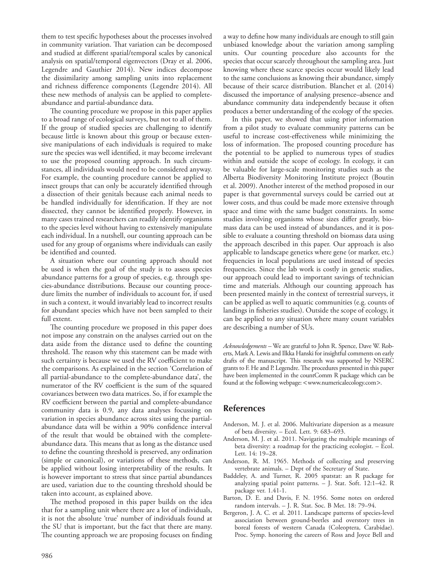them to test specific hypotheses about the processes involved in community variation. That variation can be decomposed and studied at different spatial/temporal scales by canonical analysis on spatial/temporal eigenvectors (Dray et al. 2006, Legendre and Gauthier 2014). New indices decompose the dissimilarity among sampling units into replacement and richness difference components (Legendre 2014). All these new methods of analysis can be applied to completeabundance and partial-abundance data.

The counting procedure we propose in this paper applies to a broad range of ecological surveys, but not to all of them. If the group of studied species are challenging to identify because little is known about this group or because extensive manipulations of each individuals is required to make sure the species was well identified, it may become irrelevant to use the proposed counting approach. In such circumstances, all individuals would need to be considered anyway. For example, the counting procedure cannot be applied to insect groups that can only be accurately identified through a dissection of their genitals because each animal needs to be handled individually for identification. If they are not dissected, they cannot be identified properly. However, in many cases trained researchers can readily identify organisms to the species level without having to extensively manipulate each individual. In a nutshell, our counting approach can be used for any group of organisms where individuals can easily be identified and counted.

A situation where our counting approach should not be used is when the goal of the study is to assess species abundance patterns for a group of species, e.g. through species-abundance distributions. Because our counting procedure limits the number of individuals to account for, if used in such a context, it would invariably lead to incorrect results for abundant species which have not been sampled to their full extent.

The counting procedure we proposed in this paper does not impose any constrain on the analyses carried out on the data aside from the distance used to define the counting threshold. The reason why this statement can be made with such certainty is because we used the RV coefficient to make the comparisons. As explained in the section 'Correlation of all partial-abundance to the complete-abundance data', the numerator of the RV coefficient is the sum of the squared covariances between two data matrices. So, if for example the RV coefficient between the partial and complete-abundance community data is 0.9, any data analyses focussing on variation in species abundance across sites using the partialabundance data will be within a 90% confidence interval of the result that would be obtained with the completeabundance data. This means that as long as the distance used to define the counting threshold is preserved, any ordination (simple or canonical), or variations of these methods, can be applied without losing interpretability of the results. It is however important to stress that since partial abundances are used, variation due to the counting threshold should be taken into account, as explained above.

The method proposed in this paper builds on the idea that for a sampling unit where there are a lot of individuals, it is not the absolute 'true' number of individuals found at the SU that is important, but the fact that there are many. The counting approach we are proposing focuses on finding a way to define how many individuals are enough to still gain unbiased knowledge about the variation among sampling units. Our counting procedure also accounts for the species that occur scarcely throughout the sampling area. Just knowing where these scarce species occur would likely lead to the same conclusions as knowing their abundance, simply because of their scarce distribution. Blanchet et al. (2014) discussed the importance of analysing presence–absence and abundance community data independently because it often produces a better understanding of the ecology of the species.

In this paper, we showed that using prior information from a pilot study to evaluate community patterns can be useful to increase cost-effectiveness while minimizing the loss of information. The proposed counting procedure has the potential to be applied to numerous types of studies within and outside the scope of ecology. In ecology, it can be valuable for large-scale monitoring studies such as the Alberta Biodiversity Monitoring Institute project (Boutin et al. 2009). Another interest of the method proposed in our paper is that governmental surveys could be carried out at lower costs, and thus could be made more extensive through space and time with the same budget constraints. In some studies involving organisms whose sizes differ greatly, biomass data can be used instead of abundances, and it is possible to evaluate a counting threshold on biomass data using the approach described in this paper. Our approach is also applicable to landscape genetics where gene (or marker, etc.) frequencies in local populations are used instead of species frequencies. Since the lab work is costly in genetic studies, our approach could lead to important savings of technician time and materials. Although our counting approach has been presented mainly in the context of terrestrial surveys, it can be applied as well to aquatic communities (e.g. counts of landings in fisheries studies). Outside the scope of ecology, it can be applied to any situation where many count variables are describing a number of SUs.

*Acknowledgements –* We are grateful to John R. Spence, Dave W. Roberts, Mark A. Lewis and Ilkka Hanski for insightful comments on early drafts of the manuscript. This research was supported by NSERC grants to F. He and P. Legendre. The procedures presented in this paper have been implemented in the countComm R package which can be found at the following webpage: <www.numericalecology.com>.

# **References**

- Anderson, M. J. et al. 2006. Multivariate dispersion as a measure of beta diversity. – Ecol. Lett. 9: 683–693.
- Anderson, M. J. et al. 2011. Navigating the multiple meanings of beta diversity: a roadmap for the practicing ecologist. – Ecol. Lett. 14: 19–28.
- Anderson, R. M. 1965. Methods of collecting and preserving vertebrate animals. – Dept of the Secretary of State.
- Baddeley, A. and Turner, R. 2005 spatstat: an R package for analyzing spatial point patterns. – J. Stat. Soft. 12:1–42. R package ver. 1.41-1.
- Barton, D. E. and Davis, F. N. 1956. Some notes on ordered random intervals. – J. R. Stat. Soc. B Met. 18: 79–94.
- Bergeron, J. A. C. et al. 2011. Landscape patterns of species-level association between ground-beetles and overstory trees in boreal forests of western Canada (Coleoptera, Carabidae). Proc. Symp. honoring the careers of Ross and Joyce Bell and